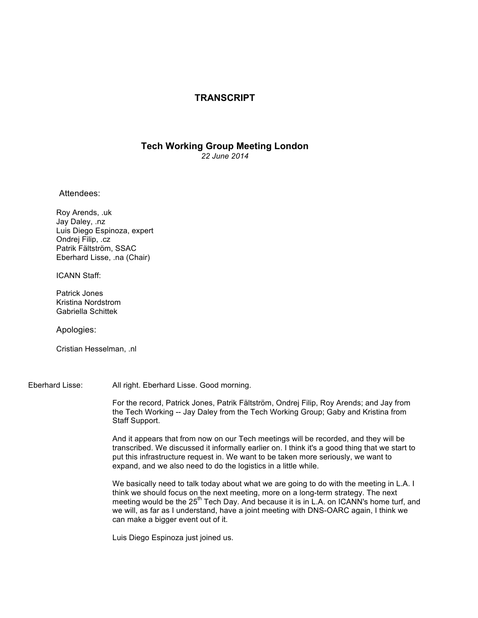## **TRANSCRIPT**

## **Tech Working Group Meeting London** *22 June 2014*

Attendees:

Roy Arends, .uk Jay Daley, .nz Luis Diego Espinoza, expert Ondrej Filip, .cz Patrik Fältström, SSAC Eberhard Lisse, .na (Chair)

ICANN Staff:

Patrick Jones Kristina Nordstrom Gabriella Schittek

Apologies:

Cristian Hesselman, .nl

Eberhard Lisse: All right. Eberhard Lisse. Good morning.

For the record, Patrick Jones, Patrik Fältström, Ondrej Filip, Roy Arends; and Jay from the Tech Working -- Jay Daley from the Tech Working Group; Gaby and Kristina from Staff Support.

And it appears that from now on our Tech meetings will be recorded, and they will be transcribed. We discussed it informally earlier on. I think it's a good thing that we start to put this infrastructure request in. We want to be taken more seriously, we want to expand, and we also need to do the logistics in a little while.

We basically need to talk today about what we are going to do with the meeting in L.A. I think we should focus on the next meeting, more on a long-term strategy. The next meeting would be the  $25<sup>th</sup>$  Tech Day. And because it is in L.A. on ICANN's home turf, and we will, as far as I understand, have a joint meeting with DNS-OARC again, I think we can make a bigger event out of it.

Luis Diego Espinoza just joined us.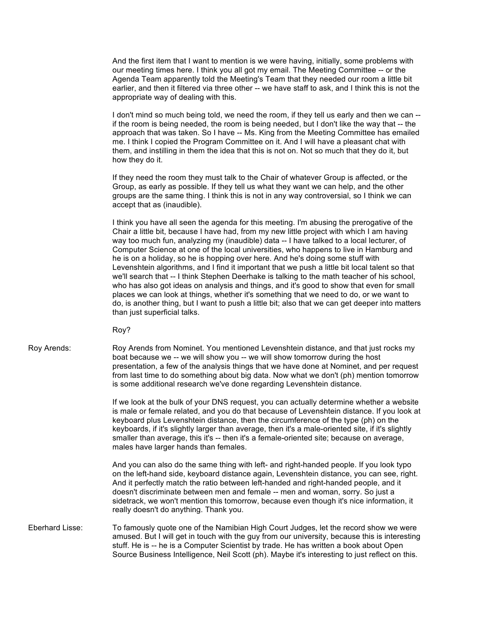And the first item that I want to mention is we were having, initially, some problems with our meeting times here. I think you all got my email. The Meeting Committee -- or the Agenda Team apparently told the Meeting's Team that they needed our room a little bit earlier, and then it filtered via three other -- we have staff to ask, and I think this is not the appropriate way of dealing with this.

I don't mind so much being told, we need the room, if they tell us early and then we can - if the room is being needed, the room is being needed, but I don't like the way that -- the approach that was taken. So I have -- Ms. King from the Meeting Committee has emailed me. I think I copied the Program Committee on it. And I will have a pleasant chat with them, and instilling in them the idea that this is not on. Not so much that they do it, but how they do it.

If they need the room they must talk to the Chair of whatever Group is affected, or the Group, as early as possible. If they tell us what they want we can help, and the other groups are the same thing. I think this is not in any way controversial, so I think we can accept that as (inaudible).

I think you have all seen the agenda for this meeting. I'm abusing the prerogative of the Chair a little bit, because I have had, from my new little project with which I am having way too much fun, analyzing my (inaudible) data -- I have talked to a local lecturer, of Computer Science at one of the local universities, who happens to live in Hamburg and he is on a holiday, so he is hopping over here. And he's doing some stuff with Levenshtein algorithms, and I find it important that we push a little bit local talent so that we'll search that -- I think Stephen Deerhake is talking to the math teacher of his school, who has also got ideas on analysis and things, and it's good to show that even for small places we can look at things, whether it's something that we need to do, or we want to do, is another thing, but I want to push a little bit; also that we can get deeper into matters than just superficial talks.

Roy?

Roy Arends: Roy Arends from Nominet. You mentioned Levenshtein distance, and that just rocks my boat because we -- we will show you -- we will show tomorrow during the host presentation, a few of the analysis things that we have done at Nominet, and per request from last time to do something about big data. Now what we don't (ph) mention tomorrow is some additional research we've done regarding Levenshtein distance.

> If we look at the bulk of your DNS request, you can actually determine whether a website is male or female related, and you do that because of Levenshtein distance. If you look at keyboard plus Levenshtein distance, then the circumference of the type (ph) on the keyboards, if it's slightly larger than average, then it's a male-oriented site, if it's slightly smaller than average, this it's -- then it's a female-oriented site; because on average, males have larger hands than females.

> And you can also do the same thing with left- and right-handed people. If you look typo on the left-hand side, keyboard distance again, Levenshtein distance, you can see, right. And it perfectly match the ratio between left-handed and right-handed people, and it doesn't discriminate between men and female -- men and woman, sorry. So just a sidetrack, we won't mention this tomorrow, because even though it's nice information, it really doesn't do anything. Thank you.

Eberhard Lisse: To famously quote one of the Namibian High Court Judges, let the record show we were amused. But I will get in touch with the guy from our university, because this is interesting stuff. He is -- he is a Computer Scientist by trade. He has written a book about Open Source Business Intelligence, Neil Scott (ph). Maybe it's interesting to just reflect on this.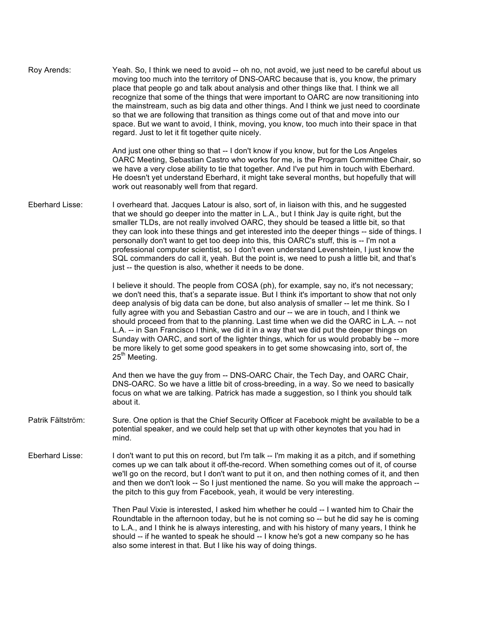| Roy Arends:       | Yeah. So, I think we need to avoid -- oh no, not avoid, we just need to be careful about us<br>moving too much into the territory of DNS-OARC because that is, you know, the primary<br>place that people go and talk about analysis and other things like that. I think we all<br>recognize that some of the things that were important to OARC are now transitioning into<br>the mainstream, such as big data and other things. And I think we just need to coordinate<br>so that we are following that transition as things come out of that and move into our<br>space. But we want to avoid, I think, moving, you know, too much into their space in that<br>regard. Just to let it fit together quite nicely.                                                                      |
|-------------------|------------------------------------------------------------------------------------------------------------------------------------------------------------------------------------------------------------------------------------------------------------------------------------------------------------------------------------------------------------------------------------------------------------------------------------------------------------------------------------------------------------------------------------------------------------------------------------------------------------------------------------------------------------------------------------------------------------------------------------------------------------------------------------------|
|                   | And just one other thing so that -- I don't know if you know, but for the Los Angeles<br>OARC Meeting, Sebastian Castro who works for me, is the Program Committee Chair, so<br>we have a very close ability to tie that together. And I've put him in touch with Eberhard.<br>He doesn't yet understand Eberhard, it might take several months, but hopefully that will<br>work out reasonably well from that regard.                                                                                                                                                                                                                                                                                                                                                                   |
| Eberhard Lisse:   | I overheard that. Jacques Latour is also, sort of, in liaison with this, and he suggested<br>that we should go deeper into the matter in L.A., but I think Jay is quite right, but the<br>smaller TLDs, are not really involved OARC, they should be teased a little bit, so that<br>they can look into these things and get interested into the deeper things -- side of things. I<br>personally don't want to get too deep into this, this OARC's stuff, this is -- I'm not a<br>professional computer scientist, so I don't even understand Levenshtein, I just know the<br>SQL commanders do call it, yeah. But the point is, we need to push a little bit, and that's<br>just -- the question is also, whether it needs to be done.                                                 |
|                   | I believe it should. The people from COSA (ph), for example, say no, it's not necessary;<br>we don't need this, that's a separate issue. But I think it's important to show that not only<br>deep analysis of big data can be done, but also analysis of smaller -- let me think. So I<br>fully agree with you and Sebastian Castro and our -- we are in touch, and I think we<br>should proceed from that to the planning. Last time when we did the OARC in L.A. -- not<br>L.A. -- in San Francisco I think, we did it in a way that we did put the deeper things on<br>Sunday with OARC, and sort of the lighter things, which for us would probably be -- more<br>be more likely to get some good speakers in to get some showcasing into, sort of, the<br>25 <sup>th</sup> Meeting. |
|                   | And then we have the guy from -- DNS-OARC Chair, the Tech Day, and OARC Chair,<br>DNS-OARC. So we have a little bit of cross-breeding, in a way. So we need to basically<br>focus on what we are talking. Patrick has made a suggestion, so I think you should talk<br>about it.                                                                                                                                                                                                                                                                                                                                                                                                                                                                                                         |
| Patrik Fältström: | Sure. One option is that the Chief Security Officer at Facebook might be available to be a<br>potential speaker, and we could help set that up with other keynotes that you had in<br>mind.                                                                                                                                                                                                                                                                                                                                                                                                                                                                                                                                                                                              |
| Eberhard Lisse:   | I don't want to put this on record, but I'm talk -- I'm making it as a pitch, and if something<br>comes up we can talk about it off-the-record. When something comes out of it, of course<br>we'll go on the record, but I don't want to put it on, and then nothing comes of it, and then<br>and then we don't look -- So I just mentioned the name. So you will make the approach --<br>the pitch to this guy from Facebook, yeah, it would be very interesting.                                                                                                                                                                                                                                                                                                                       |
|                   | Then Paul Vixie is interested, I asked him whether he could -- I wanted him to Chair the<br>Roundtable in the afternoon today, but he is not coming so -- but he did say he is coming<br>to L.A., and I think he is always interesting, and with his history of many years, I think he<br>should -- if he wanted to speak he should -- I know he's got a new company so he has<br>also some interest in that. But I like his way of doing things.                                                                                                                                                                                                                                                                                                                                        |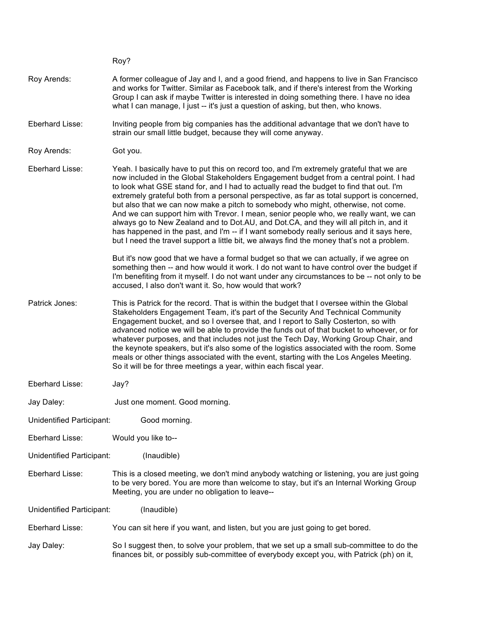|                           | Roy?                                                                                                                                                                                                                                                                                                                                                                                                                                                                                                                                                                                                                                                                                                                                                                                                                                         |
|---------------------------|----------------------------------------------------------------------------------------------------------------------------------------------------------------------------------------------------------------------------------------------------------------------------------------------------------------------------------------------------------------------------------------------------------------------------------------------------------------------------------------------------------------------------------------------------------------------------------------------------------------------------------------------------------------------------------------------------------------------------------------------------------------------------------------------------------------------------------------------|
| Roy Arends:               | A former colleague of Jay and I, and a good friend, and happens to live in San Francisco<br>and works for Twitter. Similar as Facebook talk, and if there's interest from the Working<br>Group I can ask if maybe Twitter is interested in doing something there. I have no idea<br>what I can manage, I just -- it's just a question of asking, but then, who knows.                                                                                                                                                                                                                                                                                                                                                                                                                                                                        |
| Eberhard Lisse:           | Inviting people from big companies has the additional advantage that we don't have to<br>strain our small little budget, because they will come anyway.                                                                                                                                                                                                                                                                                                                                                                                                                                                                                                                                                                                                                                                                                      |
| Roy Arends:               | Got you.                                                                                                                                                                                                                                                                                                                                                                                                                                                                                                                                                                                                                                                                                                                                                                                                                                     |
| Eberhard Lisse:           | Yeah. I basically have to put this on record too, and I'm extremely grateful that we are<br>now included in the Global Stakeholders Engagement budget from a central point. I had<br>to look what GSE stand for, and I had to actually read the budget to find that out. I'm<br>extremely grateful both from a personal perspective, as far as total support is concerned,<br>but also that we can now make a pitch to somebody who might, otherwise, not come.<br>And we can support him with Trevor. I mean, senior people who, we really want, we can<br>always go to New Zealand and to Dot.AU, and Dot.CA, and they will all pitch in, and it<br>has happened in the past, and I'm -- if I want somebody really serious and it says here,<br>but I need the travel support a little bit, we always find the money that's not a problem. |
|                           | But it's now good that we have a formal budget so that we can actually, if we agree on<br>something then -- and how would it work. I do not want to have control over the budget if<br>I'm benefiting from it myself. I do not want under any circumstances to be -- not only to be<br>accused, I also don't want it. So, how would that work?                                                                                                                                                                                                                                                                                                                                                                                                                                                                                               |
| Patrick Jones:            | This is Patrick for the record. That is within the budget that I oversee within the Global<br>Stakeholders Engagement Team, it's part of the Security And Technical Community<br>Engagement bucket, and so I oversee that, and I report to Sally Costerton, so with<br>advanced notice we will be able to provide the funds out of that bucket to whoever, or for<br>whatever purposes, and that includes not just the Tech Day, Working Group Chair, and<br>the keynote speakers, but it's also some of the logistics associated with the room. Some<br>meals or other things associated with the event, starting with the Los Angeles Meeting.<br>So it will be for three meetings a year, within each fiscal year.                                                                                                                        |
| Eberhard Lisse:           | Jay?                                                                                                                                                                                                                                                                                                                                                                                                                                                                                                                                                                                                                                                                                                                                                                                                                                         |
| Jay Daley:                | Just one moment. Good morning.                                                                                                                                                                                                                                                                                                                                                                                                                                                                                                                                                                                                                                                                                                                                                                                                               |
| Unidentified Participant: | Good morning.                                                                                                                                                                                                                                                                                                                                                                                                                                                                                                                                                                                                                                                                                                                                                                                                                                |
| Eberhard Lisse:           | Would you like to--                                                                                                                                                                                                                                                                                                                                                                                                                                                                                                                                                                                                                                                                                                                                                                                                                          |
| Unidentified Participant: | (Inaudible)                                                                                                                                                                                                                                                                                                                                                                                                                                                                                                                                                                                                                                                                                                                                                                                                                                  |
| Eberhard Lisse:           | This is a closed meeting, we don't mind anybody watching or listening, you are just going<br>to be very bored. You are more than welcome to stay, but it's an Internal Working Group<br>Meeting, you are under no obligation to leave--                                                                                                                                                                                                                                                                                                                                                                                                                                                                                                                                                                                                      |
| Unidentified Participant: | (Inaudible)                                                                                                                                                                                                                                                                                                                                                                                                                                                                                                                                                                                                                                                                                                                                                                                                                                  |
| Eberhard Lisse:           | You can sit here if you want, and listen, but you are just going to get bored.                                                                                                                                                                                                                                                                                                                                                                                                                                                                                                                                                                                                                                                                                                                                                               |
| Jay Daley:                | So I suggest then, to solve your problem, that we set up a small sub-committee to do the<br>finances bit, or possibly sub-committee of everybody except you, with Patrick (ph) on it,                                                                                                                                                                                                                                                                                                                                                                                                                                                                                                                                                                                                                                                        |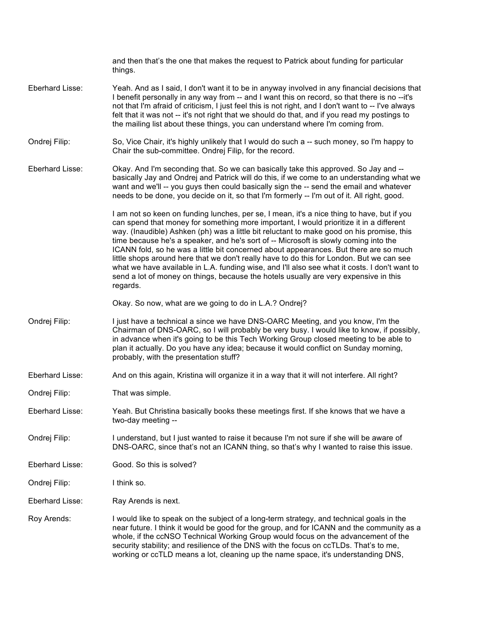|                 | and then that's the one that makes the request to Patrick about funding for particular<br>things.                                                                                                                                                                                                                                                                                                                                                                                                                                                                                                                                                                                                                                                                    |
|-----------------|----------------------------------------------------------------------------------------------------------------------------------------------------------------------------------------------------------------------------------------------------------------------------------------------------------------------------------------------------------------------------------------------------------------------------------------------------------------------------------------------------------------------------------------------------------------------------------------------------------------------------------------------------------------------------------------------------------------------------------------------------------------------|
| Eberhard Lisse: | Yeah. And as I said, I don't want it to be in anyway involved in any financial decisions that<br>I benefit personally in any way from -- and I want this on record, so that there is no --it's<br>not that I'm afraid of criticism, I just feel this is not right, and I don't want to -- I've always<br>felt that it was not -- it's not right that we should do that, and if you read my postings to<br>the mailing list about these things, you can understand where I'm coming from.                                                                                                                                                                                                                                                                             |
| Ondrej Filip:   | So, Vice Chair, it's highly unlikely that I would do such a -- such money, so I'm happy to<br>Chair the sub-committee. Ondrej Filip, for the record.                                                                                                                                                                                                                                                                                                                                                                                                                                                                                                                                                                                                                 |
| Eberhard Lisse: | Okay. And I'm seconding that. So we can basically take this approved. So Jay and --<br>basically Jay and Ondrej and Patrick will do this, if we come to an understanding what we<br>want and we'll -- you guys then could basically sign the -- send the email and whatever<br>needs to be done, you decide on it, so that I'm formerly -- I'm out of it. All right, good.                                                                                                                                                                                                                                                                                                                                                                                           |
|                 | I am not so keen on funding lunches, per se, I mean, it's a nice thing to have, but if you<br>can spend that money for something more important, I would prioritize it in a different<br>way. (Inaudible) Ashken (ph) was a little bit reluctant to make good on his promise, this<br>time because he's a speaker, and he's sort of -- Microsoft is slowly coming into the<br>ICANN fold, so he was a little bit concerned about appearances. But there are so much<br>little shops around here that we don't really have to do this for London. But we can see<br>what we have available in L.A. funding wise, and I'll also see what it costs. I don't want to<br>send a lot of money on things, because the hotels usually are very expensive in this<br>regards. |
|                 | Okay. So now, what are we going to do in L.A.? Ondrej?                                                                                                                                                                                                                                                                                                                                                                                                                                                                                                                                                                                                                                                                                                               |
| Ondrej Filip:   | I just have a technical a since we have DNS-OARC Meeting, and you know, I'm the<br>Chairman of DNS-OARC, so I will probably be very busy. I would like to know, if possibly,<br>in advance when it's going to be this Tech Working Group closed meeting to be able to<br>plan it actually. Do you have any idea; because it would conflict on Sunday morning,<br>probably, with the presentation stuff?                                                                                                                                                                                                                                                                                                                                                              |
| Eberhard Lisse: | And on this again, Kristina will organize it in a way that it will not interfere. All right?                                                                                                                                                                                                                                                                                                                                                                                                                                                                                                                                                                                                                                                                         |
| Ondrej Filip:   | That was simple.                                                                                                                                                                                                                                                                                                                                                                                                                                                                                                                                                                                                                                                                                                                                                     |
| Eberhard Lisse: | Yeah. But Christina basically books these meetings first. If she knows that we have a<br>two-day meeting --                                                                                                                                                                                                                                                                                                                                                                                                                                                                                                                                                                                                                                                          |
| Ondrej Filip:   | I understand, but I just wanted to raise it because I'm not sure if she will be aware of<br>DNS-OARC, since that's not an ICANN thing, so that's why I wanted to raise this issue.                                                                                                                                                                                                                                                                                                                                                                                                                                                                                                                                                                                   |
| Eberhard Lisse: | Good. So this is solved?                                                                                                                                                                                                                                                                                                                                                                                                                                                                                                                                                                                                                                                                                                                                             |
| Ondrej Filip:   | I think so.                                                                                                                                                                                                                                                                                                                                                                                                                                                                                                                                                                                                                                                                                                                                                          |
| Eberhard Lisse: | Ray Arends is next.                                                                                                                                                                                                                                                                                                                                                                                                                                                                                                                                                                                                                                                                                                                                                  |
| Roy Arends:     | I would like to speak on the subject of a long-term strategy, and technical goals in the<br>near future. I think it would be good for the group, and for ICANN and the community as a<br>whole, if the ccNSO Technical Working Group would focus on the advancement of the<br>security stability; and resilience of the DNS with the focus on ccTLDs. That's to me,<br>working or ccTLD means a lot, cleaning up the name space, it's understanding DNS,                                                                                                                                                                                                                                                                                                             |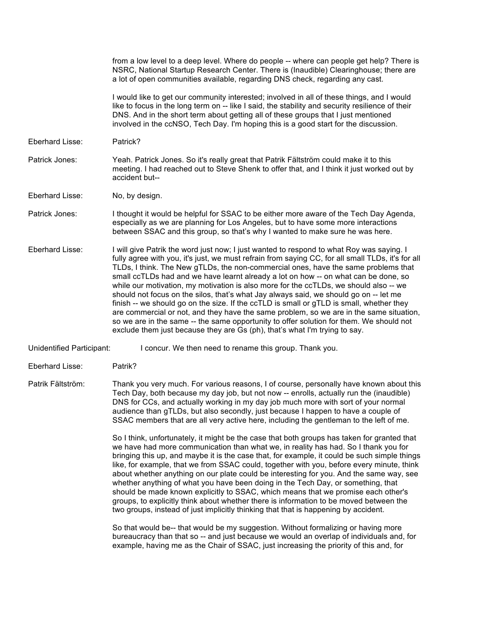|                           | from a low level to a deep level. Where do people -- where can people get help? There is<br>NSRC, National Startup Research Center. There is (Inaudible) Clearinghouse; there are<br>a lot of open communities available, regarding DNS check, regarding any cast.                                                                                                                                                                                                                                                                                                                                                                                                                                                                                                                                                                                                                                                           |
|---------------------------|------------------------------------------------------------------------------------------------------------------------------------------------------------------------------------------------------------------------------------------------------------------------------------------------------------------------------------------------------------------------------------------------------------------------------------------------------------------------------------------------------------------------------------------------------------------------------------------------------------------------------------------------------------------------------------------------------------------------------------------------------------------------------------------------------------------------------------------------------------------------------------------------------------------------------|
|                           | I would like to get our community interested; involved in all of these things, and I would<br>like to focus in the long term on -- like I said, the stability and security resilience of their<br>DNS. And in the short term about getting all of these groups that I just mentioned<br>involved in the ccNSO, Tech Day. I'm hoping this is a good start for the discussion.                                                                                                                                                                                                                                                                                                                                                                                                                                                                                                                                                 |
| Eberhard Lisse:           | Patrick?                                                                                                                                                                                                                                                                                                                                                                                                                                                                                                                                                                                                                                                                                                                                                                                                                                                                                                                     |
| Patrick Jones:            | Yeah. Patrick Jones. So it's really great that Patrik Fältström could make it to this<br>meeting. I had reached out to Steve Shenk to offer that, and I think it just worked out by<br>accident but--                                                                                                                                                                                                                                                                                                                                                                                                                                                                                                                                                                                                                                                                                                                        |
| Eberhard Lisse:           | No, by design.                                                                                                                                                                                                                                                                                                                                                                                                                                                                                                                                                                                                                                                                                                                                                                                                                                                                                                               |
| Patrick Jones:            | I thought it would be helpful for SSAC to be either more aware of the Tech Day Agenda,<br>especially as we are planning for Los Angeles, but to have some more interactions<br>between SSAC and this group, so that's why I wanted to make sure he was here.                                                                                                                                                                                                                                                                                                                                                                                                                                                                                                                                                                                                                                                                 |
| Eberhard Lisse:           | I will give Patrik the word just now; I just wanted to respond to what Roy was saying. I<br>fully agree with you, it's just, we must refrain from saying CC, for all small TLDs, it's for all<br>TLDs, I think. The New gTLDs, the non-commercial ones, have the same problems that<br>small ccTLDs had and we have learnt already a lot on how -- on what can be done, so<br>while our motivation, my motivation is also more for the ccTLDs, we should also -- we<br>should not focus on the silos, that's what Jay always said, we should go on -- let me<br>finish -- we should go on the size. If the ccTLD is small or gTLD is small, whether they<br>are commercial or not, and they have the same problem, so we are in the same situation,<br>so we are in the same -- the same opportunity to offer solution for them. We should not<br>exclude them just because they are Gs (ph), that's what I'm trying to say. |
| Unidentified Participant: | I concur. We then need to rename this group. Thank you.                                                                                                                                                                                                                                                                                                                                                                                                                                                                                                                                                                                                                                                                                                                                                                                                                                                                      |
| Eberhard Lisse:           | Patrik?                                                                                                                                                                                                                                                                                                                                                                                                                                                                                                                                                                                                                                                                                                                                                                                                                                                                                                                      |
| Patrik Fältström:         | Thank you very much. For various reasons, I of course, personally have known about this<br>Tech Day, both because my day job, but not now -- enrolls, actually run the (inaudible)<br>DNS for CCs, and actually working in my day job much more with sort of your normal<br>audience than gTLDs, but also secondly, just because I happen to have a couple of<br>SSAC members that are all very active here, including the gentleman to the left of me.                                                                                                                                                                                                                                                                                                                                                                                                                                                                      |
|                           | So I think, unfortunately, it might be the case that both groups has taken for granted that<br>we have had more communication than what we, in reality has had. So I thank you for<br>bringing this up, and maybe it is the case that, for example, it could be such simple things<br>like, for example, that we from SSAC could, together with you, before every minute, think<br>about whether anything on our plate could be interesting for you. And the same way, see<br>whether anything of what you have been doing in the Tech Day, or something, that<br>should be made known explicitly to SSAC, which means that we promise each other's<br>groups, to explicitly think about whether there is information to be moved between the<br>two groups, instead of just implicitly thinking that that is happening by accident.                                                                                         |
|                           | So that would be-- that would be my suggestion. Without formalizing or having more<br>bureaucracy than that so -- and just because we would an overlap of individuals and, for<br>example, having me as the Chair of SSAC, just increasing the priority of this and, for                                                                                                                                                                                                                                                                                                                                                                                                                                                                                                                                                                                                                                                     |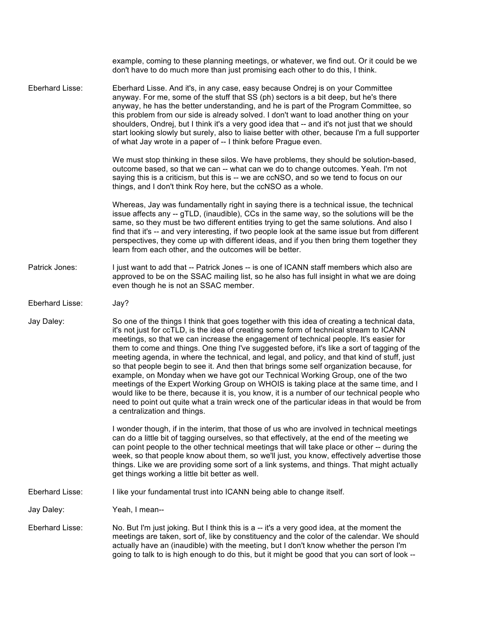|                 | example, coming to these planning meetings, or whatever, we find out. Or it could be we<br>don't have to do much more than just promising each other to do this, I think.                                                                                                                                                                                                                                                                                                                                                                                                                                                                                                                                                                                                                                                                                                                                                                                                              |
|-----------------|----------------------------------------------------------------------------------------------------------------------------------------------------------------------------------------------------------------------------------------------------------------------------------------------------------------------------------------------------------------------------------------------------------------------------------------------------------------------------------------------------------------------------------------------------------------------------------------------------------------------------------------------------------------------------------------------------------------------------------------------------------------------------------------------------------------------------------------------------------------------------------------------------------------------------------------------------------------------------------------|
| Eberhard Lisse: | Eberhard Lisse. And it's, in any case, easy because Ondrej is on your Committee<br>anyway. For me, some of the stuff that SS (ph) sectors is a bit deep, but he's there<br>anyway, he has the better understanding, and he is part of the Program Committee, so<br>this problem from our side is already solved. I don't want to load another thing on your<br>shoulders, Ondrej, but I think it's a very good idea that -- and it's not just that we should<br>start looking slowly but surely, also to liaise better with other, because I'm a full supporter<br>of what Jay wrote in a paper of -- I think before Prague even.                                                                                                                                                                                                                                                                                                                                                      |
|                 | We must stop thinking in these silos. We have problems, they should be solution-based,<br>outcome based, so that we can -- what can we do to change outcomes. Yeah. I'm not<br>saying this is a criticism, but this is -- we are ccNSO, and so we tend to focus on our<br>things, and I don't think Roy here, but the ccNSO as a whole.                                                                                                                                                                                                                                                                                                                                                                                                                                                                                                                                                                                                                                                |
|                 | Whereas, Jay was fundamentally right in saying there is a technical issue, the technical<br>issue affects any -- gTLD, (inaudible), CCs in the same way, so the solutions will be the<br>same, so they must be two different entities trying to get the same solutions. And also I<br>find that it's -- and very interesting, if two people look at the same issue but from different<br>perspectives, they come up with different ideas, and if you then bring them together they<br>learn from each other, and the outcomes will be better.                                                                                                                                                                                                                                                                                                                                                                                                                                          |
| Patrick Jones:  | I just want to add that -- Patrick Jones -- is one of ICANN staff members which also are<br>approved to be on the SSAC mailing list, so he also has full insight in what we are doing<br>even though he is not an SSAC member.                                                                                                                                                                                                                                                                                                                                                                                                                                                                                                                                                                                                                                                                                                                                                         |
| Eberhard Lisse: | Jay?                                                                                                                                                                                                                                                                                                                                                                                                                                                                                                                                                                                                                                                                                                                                                                                                                                                                                                                                                                                   |
| Jay Daley:      | So one of the things I think that goes together with this idea of creating a technical data,<br>it's not just for ccTLD, is the idea of creating some form of technical stream to ICANN<br>meetings, so that we can increase the engagement of technical people. It's easier for<br>them to come and things. One thing I've suggested before, it's like a sort of tagging of the<br>meeting agenda, in where the technical, and legal, and policy, and that kind of stuff, just<br>so that people begin to see it. And then that brings some self organization because, for<br>example, on Monday when we have got our Technical Working Group, one of the two<br>meetings of the Expert Working Group on WHOIS is taking place at the same time, and I<br>would like to be there, because it is, you know, it is a number of our technical people who<br>need to point out quite what a train wreck one of the particular ideas in that would be from<br>a centralization and things. |
|                 | I wonder though, if in the interim, that those of us who are involved in technical meetings<br>can do a little bit of tagging ourselves, so that effectively, at the end of the meeting we<br>can point people to the other technical meetings that will take place or other -- during the<br>week, so that people know about them, so we'll just, you know, effectively advertise those<br>things. Like we are providing some sort of a link systems, and things. That might actually<br>get things working a little bit better as well.                                                                                                                                                                                                                                                                                                                                                                                                                                              |
| Eberhard Lisse: | I like your fundamental trust into ICANN being able to change itself.                                                                                                                                                                                                                                                                                                                                                                                                                                                                                                                                                                                                                                                                                                                                                                                                                                                                                                                  |
| Jay Daley:      | Yeah, I mean--                                                                                                                                                                                                                                                                                                                                                                                                                                                                                                                                                                                                                                                                                                                                                                                                                                                                                                                                                                         |
| Eberhard Lisse: | No. But I'm just joking. But I think this is a -- it's a very good idea, at the moment the<br>meetings are taken, sort of, like by constituency and the color of the calendar. We should<br>actually have an (inaudible) with the meeting, but I don't know whether the person I'm<br>going to talk to is high enough to do this, but it might be good that you can sort of look --                                                                                                                                                                                                                                                                                                                                                                                                                                                                                                                                                                                                    |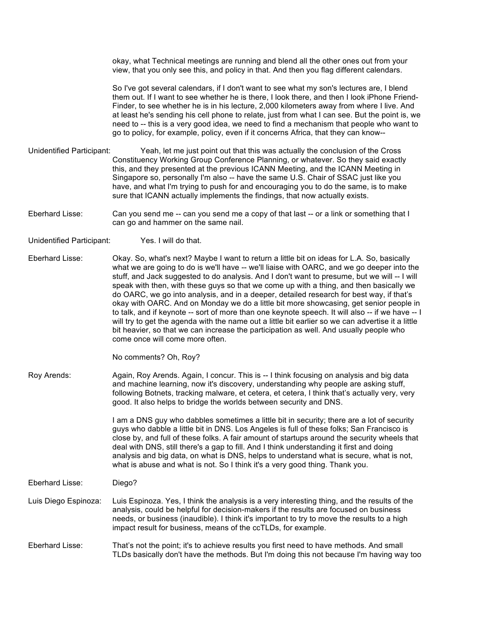okay, what Technical meetings are running and blend all the other ones out from your view, that you only see this, and policy in that. And then you flag different calendars.

So I've got several calendars, if I don't want to see what my son's lectures are, I blend them out. If I want to see whether he is there, I look there, and then I look iPhone Friend-Finder, to see whether he is in his lecture, 2,000 kilometers away from where I live. And at least he's sending his cell phone to relate, just from what I can see. But the point is, we need to -- this is a very good idea, we need to find a mechanism that people who want to go to policy, for example, policy, even if it concerns Africa, that they can know--

- Unidentified Participant: Yeah, let me just point out that this was actually the conclusion of the Cross Constituency Working Group Conference Planning, or whatever. So they said exactly this, and they presented at the previous ICANN Meeting, and the ICANN Meeting in Singapore so, personally I'm also -- have the same U.S. Chair of SSAC just like you have, and what I'm trying to push for and encouraging you to do the same, is to make sure that ICANN actually implements the findings, that now actually exists.
- Eberhard Lisse: Can you send me -- can you send me a copy of that last -- or a link or something that I can go and hammer on the same nail.
- Unidentified Participant: Yes. I will do that.
- Eberhard Lisse: Okay. So, what's next? Maybe I want to return a little bit on ideas for L.A. So, basically what we are going to do is we'll have -- we'll liaise with OARC, and we go deeper into the stuff, and Jack suggested to do analysis. And I don't want to presume, but we will -- I will speak with then, with these guys so that we come up with a thing, and then basically we do OARC, we go into analysis, and in a deeper, detailed research for best way, if that's okay with OARC. And on Monday we do a little bit more showcasing, get senior people in to talk, and if keynote -- sort of more than one keynote speech. It will also -- if we have -- I will try to get the agenda with the name out a little bit earlier so we can advertise it a little bit heavier, so that we can increase the participation as well. And usually people who come once will come more often.

No comments? Oh, Roy?

Roy Arends: Again, Roy Arends. Again, I concur. This is -- I think focusing on analysis and big data and machine learning, now it's discovery, understanding why people are asking stuff, following Botnets, tracking malware, et cetera, et cetera, I think that's actually very, very good. It also helps to bridge the worlds between security and DNS.

> I am a DNS guy who dabbles sometimes a little bit in security; there are a lot of security guys who dabble a little bit in DNS. Los Angeles is full of these folks; San Francisco is close by, and full of these folks. A fair amount of startups around the security wheels that deal with DNS, still there's a gap to fill. And I think understanding it first and doing analysis and big data, on what is DNS, helps to understand what is secure, what is not, what is abuse and what is not. So I think it's a very good thing. Thank you.

- Eberhard Lisse: Diego?
- Luis Diego Espinoza: Luis Espinoza. Yes, I think the analysis is a very interesting thing, and the results of the analysis, could be helpful for decision-makers if the results are focused on business needs, or business (inaudible). I think it's important to try to move the results to a high impact result for business, means of the ccTLDs, for example.
- Eberhard Lisse: That's not the point; it's to achieve results you first need to have methods. And small TLDs basically don't have the methods. But I'm doing this not because I'm having way too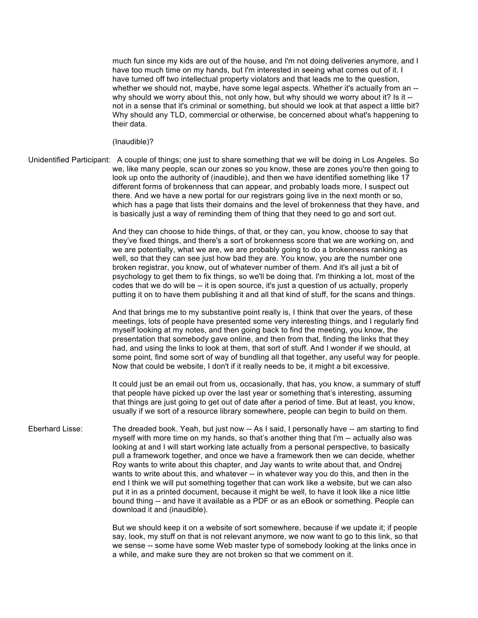much fun since my kids are out of the house, and I'm not doing deliveries anymore, and I have too much time on my hands, but I'm interested in seeing what comes out of it. I have turned off two intellectual property violators and that leads me to the question, whether we should not, maybe, have some legal aspects. Whether it's actually from an -why should we worry about this, not only how, but why should we worry about it? Is it -not in a sense that it's criminal or something, but should we look at that aspect a little bit? Why should any TLD, commercial or otherwise, be concerned about what's happening to their data.

(Inaudible)?

Unidentified Participant: A couple of things; one just to share something that we will be doing in Los Angeles. So we, like many people, scan our zones so you know, these are zones you're then going to look up onto the authority of (inaudible), and then we have identified something like 17 different forms of brokenness that can appear, and probably loads more, I suspect out there. And we have a new portal for our registrars going live in the next month or so, which has a page that lists their domains and the level of brokenness that they have, and is basically just a way of reminding them of thing that they need to go and sort out.

> And they can choose to hide things, of that, or they can, you know, choose to say that they've fixed things, and there's a sort of brokenness score that we are working on, and we are potentially, what we are, we are probably going to do a brokenness ranking as well, so that they can see just how bad they are. You know, you are the number one broken registrar, you know, out of whatever number of them. And it's all just a bit of psychology to get them to fix things, so we'll be doing that. I'm thinking a lot, most of the codes that we do will be -- it is open source, it's just a question of us actually, properly putting it on to have them publishing it and all that kind of stuff, for the scans and things.

And that brings me to my substantive point really is, I think that over the years, of these meetings, lots of people have presented some very interesting things, and I regularly find myself looking at my notes, and then going back to find the meeting, you know, the presentation that somebody gave online, and then from that, finding the links that they had, and using the links to look at them, that sort of stuff. And I wonder if we should, at some point, find some sort of way of bundling all that together, any useful way for people. Now that could be website, I don't if it really needs to be, it might a bit excessive.

It could just be an email out from us, occasionally, that has, you know, a summary of stuff that people have picked up over the last year or something that's interesting, assuming that things are just going to get out of date after a period of time. But at least, you know, usually if we sort of a resource library somewhere, people can begin to build on them.

Eberhard Lisse: The dreaded book. Yeah, but just now -- As I said, I personally have -- am starting to find myself with more time on my hands, so that's another thing that I'm -- actually also was looking at and I will start working late actually from a personal perspective, to basically pull a framework together, and once we have a framework then we can decide, whether Roy wants to write about this chapter, and Jay wants to write about that, and Ondrej wants to write about this, and whatever -- in whatever way you do this, and then in the end I think we will put something together that can work like a website, but we can also put it in as a printed document, because it might be well, to have it look like a nice little bound thing -- and have it available as a PDF or as an eBook or something. People can download it and (inaudible).

> But we should keep it on a website of sort somewhere, because if we update it; if people say, look, my stuff on that is not relevant anymore, we now want to go to this link, so that we sense -- some have some Web master type of somebody looking at the links once in a while, and make sure they are not broken so that we comment on it.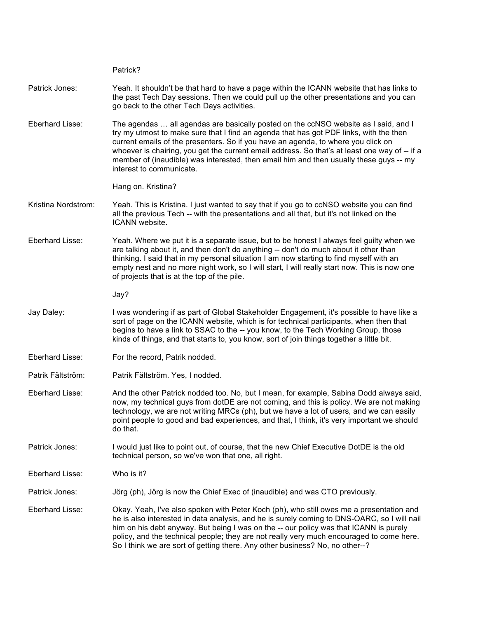|                     | Patrick?                                                                                                                                                                                                                                                                                                                                                                                                                                                                                  |
|---------------------|-------------------------------------------------------------------------------------------------------------------------------------------------------------------------------------------------------------------------------------------------------------------------------------------------------------------------------------------------------------------------------------------------------------------------------------------------------------------------------------------|
| Patrick Jones:      | Yeah. It shouldn't be that hard to have a page within the ICANN website that has links to<br>the past Tech Day sessions. Then we could pull up the other presentations and you can<br>go back to the other Tech Days activities.                                                                                                                                                                                                                                                          |
| Eberhard Lisse:     | The agendas  all agendas are basically posted on the ccNSO website as I said, and I<br>try my utmost to make sure that I find an agenda that has got PDF links, with the then<br>current emails of the presenters. So if you have an agenda, to where you click on<br>whoever is chairing, you get the current email address. So that's at least one way of -- if a<br>member of (inaudible) was interested, then email him and then usually these guys -- my<br>interest to communicate. |
|                     | Hang on. Kristina?                                                                                                                                                                                                                                                                                                                                                                                                                                                                        |
| Kristina Nordstrom: | Yeah. This is Kristina. I just wanted to say that if you go to ccNSO website you can find<br>all the previous Tech -- with the presentations and all that, but it's not linked on the<br>ICANN website.                                                                                                                                                                                                                                                                                   |
| Eberhard Lisse:     | Yeah. Where we put it is a separate issue, but to be honest I always feel guilty when we<br>are talking about it, and then don't do anything -- don't do much about it other than<br>thinking. I said that in my personal situation I am now starting to find myself with an<br>empty nest and no more night work, so I will start, I will really start now. This is now one<br>of projects that is at the top of the pile.                                                               |
|                     | Jay?                                                                                                                                                                                                                                                                                                                                                                                                                                                                                      |
| Jay Daley:          | I was wondering if as part of Global Stakeholder Engagement, it's possible to have like a<br>sort of page on the ICANN website, which is for technical participants, when then that<br>begins to have a link to SSAC to the -- you know, to the Tech Working Group, those<br>kinds of things, and that starts to, you know, sort of join things together a little bit.                                                                                                                    |
| Eberhard Lisse:     | For the record, Patrik nodded.                                                                                                                                                                                                                                                                                                                                                                                                                                                            |
| Patrik Fältström:   | Patrik Fältström. Yes, I nodded.                                                                                                                                                                                                                                                                                                                                                                                                                                                          |
| Eberhard Lisse:     | And the other Patrick nodded too. No, but I mean, for example, Sabina Dodd always said,<br>now, my technical guys from dotDE are not coming, and this is policy. We are not making<br>technology, we are not writing MRCs (ph), but we have a lot of users, and we can easily<br>point people to good and bad experiences, and that, I think, it's very important we should<br>do that.                                                                                                   |
| Patrick Jones:      | I would just like to point out, of course, that the new Chief Executive DotDE is the old<br>technical person, so we've won that one, all right.                                                                                                                                                                                                                                                                                                                                           |
| Eberhard Lisse:     | Who is it?                                                                                                                                                                                                                                                                                                                                                                                                                                                                                |
| Patrick Jones:      | Jörg (ph), Jörg is now the Chief Exec of (inaudible) and was CTO previously.                                                                                                                                                                                                                                                                                                                                                                                                              |
| Eberhard Lisse:     | Okay. Yeah, I've also spoken with Peter Koch (ph), who still owes me a presentation and<br>he is also interested in data analysis, and he is surely coming to DNS-OARC, so I will nail<br>him on his debt anyway. But being I was on the -- our policy was that ICANN is purely<br>policy, and the technical people; they are not really very much encouraged to come here.<br>So I think we are sort of getting there. Any other business? No, no other--?                               |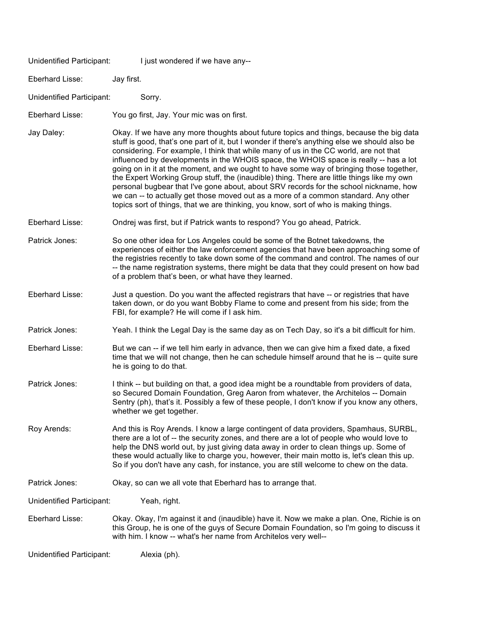| Unidentified Participant: | I just wondered if we have any--                                                                                                                                                                                                                                                                                                                                                                                                                                                                                                                                                                                                                                                                                                                                                                                                            |
|---------------------------|---------------------------------------------------------------------------------------------------------------------------------------------------------------------------------------------------------------------------------------------------------------------------------------------------------------------------------------------------------------------------------------------------------------------------------------------------------------------------------------------------------------------------------------------------------------------------------------------------------------------------------------------------------------------------------------------------------------------------------------------------------------------------------------------------------------------------------------------|
| Eberhard Lisse:           | Jay first.                                                                                                                                                                                                                                                                                                                                                                                                                                                                                                                                                                                                                                                                                                                                                                                                                                  |
| Unidentified Participant: | Sorry.                                                                                                                                                                                                                                                                                                                                                                                                                                                                                                                                                                                                                                                                                                                                                                                                                                      |
| Eberhard Lisse:           | You go first, Jay. Your mic was on first.                                                                                                                                                                                                                                                                                                                                                                                                                                                                                                                                                                                                                                                                                                                                                                                                   |
| Jay Daley:                | Okay. If we have any more thoughts about future topics and things, because the big data<br>stuff is good, that's one part of it, but I wonder if there's anything else we should also be<br>considering. For example, I think that while many of us in the CC world, are not that<br>influenced by developments in the WHOIS space, the WHOIS space is really -- has a lot<br>going on in it at the moment, and we ought to have some way of bringing those together,<br>the Expert Working Group stuff, the (inaudible) thing. There are little things like my own<br>personal bugbear that I've gone about, about SRV records for the school nickname, how<br>we can -- to actually get those moved out as a more of a common standard. Any other<br>topics sort of things, that we are thinking, you know, sort of who is making things. |
| Eberhard Lisse:           | Ondrej was first, but if Patrick wants to respond? You go ahead, Patrick.                                                                                                                                                                                                                                                                                                                                                                                                                                                                                                                                                                                                                                                                                                                                                                   |
| Patrick Jones:            | So one other idea for Los Angeles could be some of the Botnet takedowns, the<br>experiences of either the law enforcement agencies that have been approaching some of<br>the registries recently to take down some of the command and control. The names of our<br>-- the name registration systems, there might be data that they could present on how bad<br>of a problem that's been, or what have they learned.                                                                                                                                                                                                                                                                                                                                                                                                                         |
| Eberhard Lisse:           | Just a question. Do you want the affected registrars that have -- or registries that have<br>taken down, or do you want Bobby Flame to come and present from his side; from the<br>FBI, for example? He will come if I ask him.                                                                                                                                                                                                                                                                                                                                                                                                                                                                                                                                                                                                             |
| Patrick Jones:            | Yeah. I think the Legal Day is the same day as on Tech Day, so it's a bit difficult for him.                                                                                                                                                                                                                                                                                                                                                                                                                                                                                                                                                                                                                                                                                                                                                |
| Eberhard Lisse:           | But we can -- if we tell him early in advance, then we can give him a fixed date, a fixed<br>time that we will not change, then he can schedule himself around that he is -- quite sure<br>he is going to do that.                                                                                                                                                                                                                                                                                                                                                                                                                                                                                                                                                                                                                          |
| Patrick Jones:            | I think -- but building on that, a good idea might be a roundtable from providers of data,<br>so Secured Domain Foundation, Greg Aaron from whatever, the Architelos -- Domain<br>Sentry (ph), that's it. Possibly a few of these people, I don't know if you know any others,<br>whether we get together.                                                                                                                                                                                                                                                                                                                                                                                                                                                                                                                                  |
| Roy Arends:               | And this is Roy Arends. I know a large contingent of data providers, Spamhaus, SURBL,<br>there are a lot of -- the security zones, and there are a lot of people who would love to<br>help the DNS world out, by just giving data away in order to clean things up. Some of<br>these would actually like to charge you, however, their main motto is, let's clean this up.<br>So if you don't have any cash, for instance, you are still welcome to chew on the data.                                                                                                                                                                                                                                                                                                                                                                       |
| Patrick Jones:            | Okay, so can we all vote that Eberhard has to arrange that.                                                                                                                                                                                                                                                                                                                                                                                                                                                                                                                                                                                                                                                                                                                                                                                 |
| Unidentified Participant: | Yeah, right.                                                                                                                                                                                                                                                                                                                                                                                                                                                                                                                                                                                                                                                                                                                                                                                                                                |
| Eberhard Lisse:           | Okay. Okay, I'm against it and (inaudible) have it. Now we make a plan. One, Richie is on<br>this Group, he is one of the guys of Secure Domain Foundation, so I'm going to discuss it<br>with him. I know -- what's her name from Architelos very well--                                                                                                                                                                                                                                                                                                                                                                                                                                                                                                                                                                                   |
| Unidentified Participant: | Alexia (ph).                                                                                                                                                                                                                                                                                                                                                                                                                                                                                                                                                                                                                                                                                                                                                                                                                                |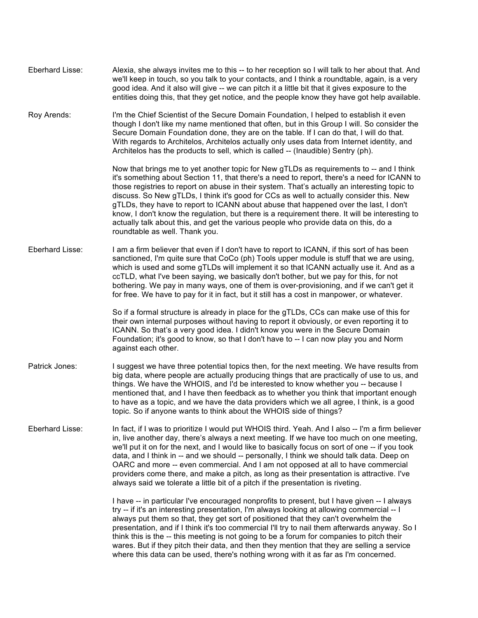| Eberhard Lisse: | Alexia, she always invites me to this -- to her reception so I will talk to her about that. And<br>we'll keep in touch, so you talk to your contacts, and I think a roundtable, again, is a very<br>good idea. And it also will give -- we can pitch it a little bit that it gives exposure to the<br>entities doing this, that they get notice, and the people know they have got help available.                                                                                                                                                                                                                                                                                                   |
|-----------------|------------------------------------------------------------------------------------------------------------------------------------------------------------------------------------------------------------------------------------------------------------------------------------------------------------------------------------------------------------------------------------------------------------------------------------------------------------------------------------------------------------------------------------------------------------------------------------------------------------------------------------------------------------------------------------------------------|
| Roy Arends:     | I'm the Chief Scientist of the Secure Domain Foundation, I helped to establish it even<br>though I don't like my name mentioned that often, but in this Group I will. So consider the<br>Secure Domain Foundation done, they are on the table. If I can do that, I will do that.<br>With regards to Architelos, Architelos actually only uses data from Internet identity, and<br>Architelos has the products to sell, which is called -- (Inaudible) Sentry (ph).                                                                                                                                                                                                                                   |
|                 | Now that brings me to yet another topic for New gTLDs as requirements to -- and I think<br>it's something about Section 11, that there's a need to report, there's a need for ICANN to<br>those registries to report on abuse in their system. That's actually an interesting topic to<br>discuss. So New gTLDs, I think it's good for CCs as well to actually consider this. New<br>gTLDs, they have to report to ICANN about abuse that happened over the last, I don't<br>know, I don't know the regulation, but there is a requirement there. It will be interesting to<br>actually talk about this, and get the various people who provide data on this, do a<br>roundtable as well. Thank you. |
| Eberhard Lisse: | I am a firm believer that even if I don't have to report to ICANN, if this sort of has been<br>sanctioned, I'm quite sure that CoCo (ph) Tools upper module is stuff that we are using,<br>which is used and some gTLDs will implement it so that ICANN actually use it. And as a<br>ccTLD, what I've been saying, we basically don't bother, but we pay for this, for not<br>bothering. We pay in many ways, one of them is over-provisioning, and if we can't get it<br>for free. We have to pay for it in fact, but it still has a cost in manpower, or whatever.                                                                                                                                 |
|                 | So if a formal structure is already in place for the gTLDs, CCs can make use of this for<br>their own internal purposes without having to report it obviously, or even reporting it to<br>ICANN. So that's a very good idea. I didn't know you were in the Secure Domain<br>Foundation; it's good to know, so that I don't have to -- I can now play you and Norm<br>against each other.                                                                                                                                                                                                                                                                                                             |
| Patrick Jones:  | I suggest we have three potential topics then, for the next meeting. We have results from<br>big data, where people are actually producing things that are practically of use to us, and<br>things. We have the WHOIS, and I'd be interested to know whether you -- because I<br>mentioned that, and I have then feedback as to whether you think that important enough<br>to have as a topic, and we have the data providers which we all agree, I think, is a good<br>topic. So if anyone wants to think about the WHOIS side of things?                                                                                                                                                           |
| Eberhard Lisse: | In fact, if I was to prioritize I would put WHOIS third. Yeah. And I also -- I'm a firm believer<br>in, live another day, there's always a next meeting. If we have too much on one meeting,<br>we'll put it on for the next, and I would like to basically focus on sort of one -- if you took<br>data, and I think in -- and we should -- personally, I think we should talk data. Deep on<br>OARC and more -- even commercial. And I am not opposed at all to have commercial<br>providers come there, and make a pitch, as long as their presentation is attractive. I've<br>always said we tolerate a little bit of a pitch if the presentation is riveting.                                    |
|                 | I have -- in particular I've encouraged nonprofits to present, but I have given -- I always<br>try -- if it's an interesting presentation, I'm always looking at allowing commercial -- I<br>always put them so that, they get sort of positioned that they can't overwhelm the<br>presentation, and if I think it's too commercial I'll try to nail them afterwards anyway. So I<br>think this is the -- this meeting is not going to be a forum for companies to pitch their<br>wares. But if they pitch their data, and then they mention that they are selling a service<br>where this data can be used, there's nothing wrong with it as far as I'm concerned.                                  |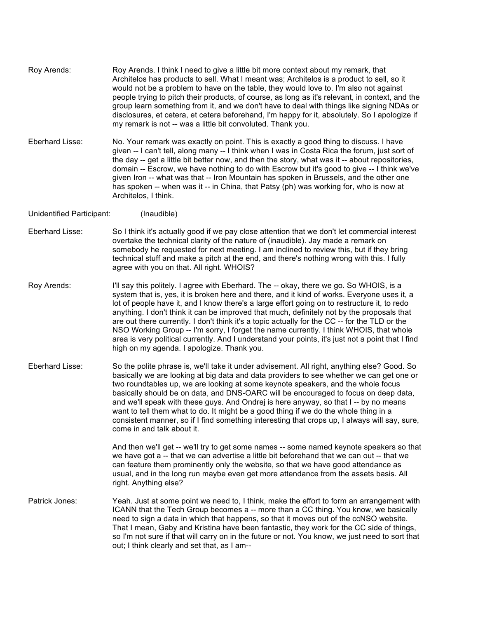Roy Arends: Roy Arends. I think I need to give a little bit more context about my remark, that Architelos has products to sell. What I meant was; Architelos is a product to sell, so it would not be a problem to have on the table, they would love to. I'm also not against people trying to pitch their products, of course, as long as it's relevant, in context, and the group learn something from it, and we don't have to deal with things like signing NDAs or disclosures, et cetera, et cetera beforehand, I'm happy for it, absolutely. So I apologize if my remark is not -- was a little bit convoluted. Thank you.

Eberhard Lisse: No. Your remark was exactly on point. This is exactly a good thing to discuss. I have given -- I can't tell, along many -- I think when I was in Costa Rica the forum, just sort of the day -- get a little bit better now, and then the story, what was it -- about repositories, domain -- Escrow, we have nothing to do with Escrow but it's good to give -- I think we've given Iron -- what was that -- Iron Mountain has spoken in Brussels, and the other one has spoken -- when was it -- in China, that Patsy (ph) was working for, who is now at Architelos, I think.

Unidentified Participant: (Inaudible)

- Eberhard Lisse: So I think it's actually good if we pay close attention that we don't let commercial interest overtake the technical clarity of the nature of (inaudible). Jay made a remark on somebody he requested for next meeting. I am inclined to review this, but if they bring technical stuff and make a pitch at the end, and there's nothing wrong with this. I fully agree with you on that. All right. WHOIS?
- Roy Arends: I'll say this politely. I agree with Eberhard. The -- okay, there we go. So WHOIS, is a system that is, yes, it is broken here and there, and it kind of works. Everyone uses it, a lot of people have it, and I know there's a large effort going on to restructure it, to redo anything. I don't think it can be improved that much, definitely not by the proposals that are out there currently. I don't think it's a topic actually for the CC -- for the TLD or the NSO Working Group -- I'm sorry, I forget the name currently. I think WHOIS, that whole area is very political currently. And I understand your points, it's just not a point that I find high on my agenda. I apologize. Thank you.
- Eberhard Lisse: So the polite phrase is, we'll take it under advisement. All right, anything else? Good. So basically we are looking at big data and data providers to see whether we can get one or two roundtables up, we are looking at some keynote speakers, and the whole focus basically should be on data, and DNS-OARC will be encouraged to focus on deep data, and we'll speak with these guys. And Ondrej is here anyway, so that I -- by no means want to tell them what to do. It might be a good thing if we do the whole thing in a consistent manner, so if I find something interesting that crops up, I always will say, sure, come in and talk about it.

And then we'll get -- we'll try to get some names -- some named keynote speakers so that we have got a -- that we can advertise a little bit beforehand that we can out -- that we can feature them prominently only the website, so that we have good attendance as usual, and in the long run maybe even get more attendance from the assets basis. All right. Anything else?

Patrick Jones: Yeah. Just at some point we need to, I think, make the effort to form an arrangement with ICANN that the Tech Group becomes a -- more than a CC thing. You know, we basically need to sign a data in which that happens, so that it moves out of the ccNSO website. That I mean, Gaby and Kristina have been fantastic, they work for the CC side of things, so I'm not sure if that will carry on in the future or not. You know, we just need to sort that out; I think clearly and set that, as I am--